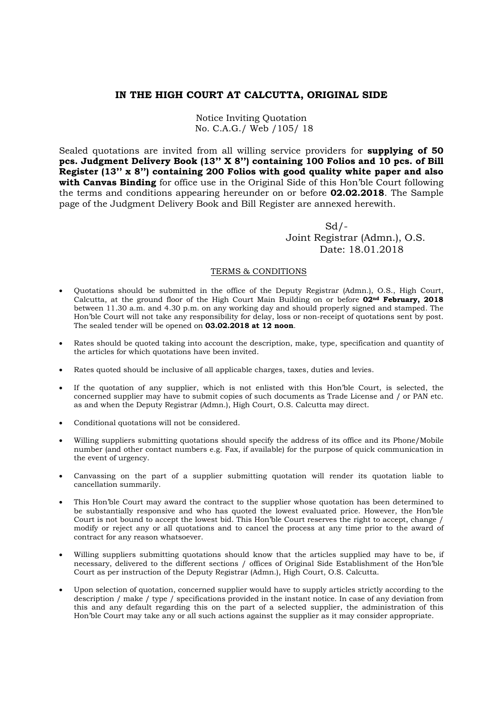## **IN THE HIGH COURT AT CALCUTTA, ORIGINAL SIDE**

Notice Inviting Quotation No. C.A.G./ Web /105/ 18

Sealed quotations are invited from all willing service providers for **supplying of 50 pcs. Judgment Delivery Book (13'' X 8'') containing 100 Folios and 10 pcs. of Bill Register (13'' x 8'') containing 200 Folios with good quality white paper and also with Canvas Binding** for office use in the Original Side of this Hon'ble Court following the terms and conditions appearing hereunder on or before **02.02.2018**. The Sample page of the Judgment Delivery Book and Bill Register are annexed herewith.

 $Sd$  /- Joint Registrar (Admn.), O.S. Date: 18.01.2018

## TERMS & CONDITIONS

- Quotations should be submitted in the office of the Deputy Registrar (Admn.), O.S., High Court, Calcutta, at the ground floor of the High Court Main Building on or before **02nd February, 2018** between 11.30 a.m. and 4.30 p.m. on any working day and should properly signed and stamped. The Hon'ble Court will not take any responsibility for delay, loss or non-receipt of quotations sent by post. The sealed tender will be opened on **03.02.2018 at 12 noon**.
- Rates should be quoted taking into account the description, make, type, specification and quantity of the articles for which quotations have been invited.
- Rates quoted should be inclusive of all applicable charges, taxes, duties and levies.
- If the quotation of any supplier, which is not enlisted with this Hon'ble Court, is selected, the concerned supplier may have to submit copies of such documents as Trade License and / or PAN etc. as and when the Deputy Registrar (Admn.), High Court, O.S. Calcutta may direct.
- Conditional quotations will not be considered.
- Willing suppliers submitting quotations should specify the address of its office and its Phone/Mobile number (and other contact numbers e.g. Fax, if available) for the purpose of quick communication in the event of urgency.
- Canvassing on the part of a supplier submitting quotation will render its quotation liable to cancellation summarily.
- This Hon'ble Court may award the contract to the supplier whose quotation has been determined to be substantially responsive and who has quoted the lowest evaluated price. However, the Hon'ble Court is not bound to accept the lowest bid. This Hon'ble Court reserves the right to accept, change / modify or reject any or all quotations and to cancel the process at any time prior to the award of contract for any reason whatsoever.
- Willing suppliers submitting quotations should know that the articles supplied may have to be, if necessary, delivered to the different sections / offices of Original Side Establishment of the Hon'ble Court as per instruction of the Deputy Registrar (Admn.), High Court, O.S. Calcutta.
- Upon selection of quotation, concerned supplier would have to supply articles strictly according to the description / make / type / specifications provided in the instant notice. In case of any deviation from this and any default regarding this on the part of a selected supplier, the administration of this Hon'ble Court may take any or all such actions against the supplier as it may consider appropriate.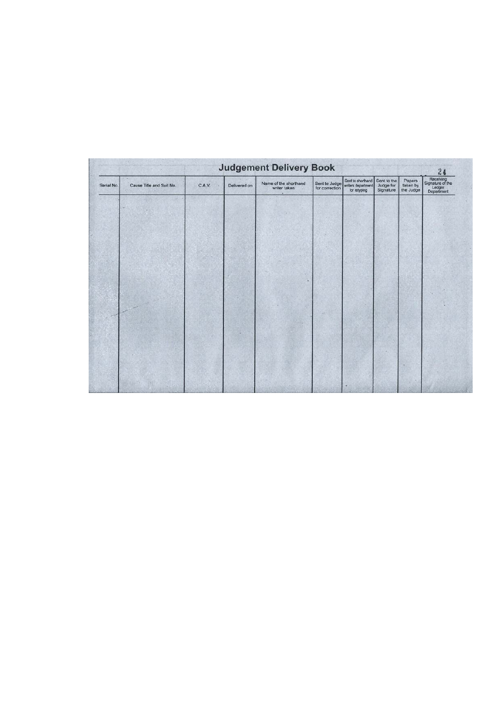| <b>Judgement Delivery Book</b>         |        |  |                                       |                                 |                                                         |                                       |                                 |                                                             |  |  |  |  |
|----------------------------------------|--------|--|---------------------------------------|---------------------------------|---------------------------------------------------------|---------------------------------------|---------------------------------|-------------------------------------------------------------|--|--|--|--|
| Cause Title and Suit No.<br>Serial No. | C.A.V. |  | Name of the shorthand<br>writer taken | Sent to Judge<br>for correction | Sent to shorthand<br>writers department<br>for retyping | Sent to the<br>Judge for<br>Signature | Papers<br>taken by<br>the Judge | 24<br>Receiving<br>Signature of the<br>Ledger<br>Department |  |  |  |  |
|                                        |        |  |                                       |                                 |                                                         |                                       |                                 |                                                             |  |  |  |  |
|                                        |        |  |                                       |                                 |                                                         |                                       |                                 |                                                             |  |  |  |  |
|                                        |        |  |                                       |                                 |                                                         |                                       |                                 |                                                             |  |  |  |  |
|                                        |        |  |                                       |                                 |                                                         |                                       |                                 |                                                             |  |  |  |  |
|                                        |        |  |                                       |                                 |                                                         |                                       |                                 |                                                             |  |  |  |  |
|                                        |        |  |                                       |                                 |                                                         |                                       |                                 |                                                             |  |  |  |  |
|                                        |        |  |                                       |                                 |                                                         |                                       |                                 |                                                             |  |  |  |  |
|                                        |        |  |                                       |                                 |                                                         |                                       |                                 |                                                             |  |  |  |  |
|                                        |        |  |                                       |                                 |                                                         |                                       |                                 |                                                             |  |  |  |  |
|                                        |        |  |                                       |                                 |                                                         |                                       |                                 |                                                             |  |  |  |  |
|                                        |        |  |                                       |                                 |                                                         |                                       |                                 |                                                             |  |  |  |  |
|                                        |        |  |                                       |                                 |                                                         |                                       |                                 |                                                             |  |  |  |  |
|                                        |        |  |                                       |                                 |                                                         |                                       |                                 |                                                             |  |  |  |  |